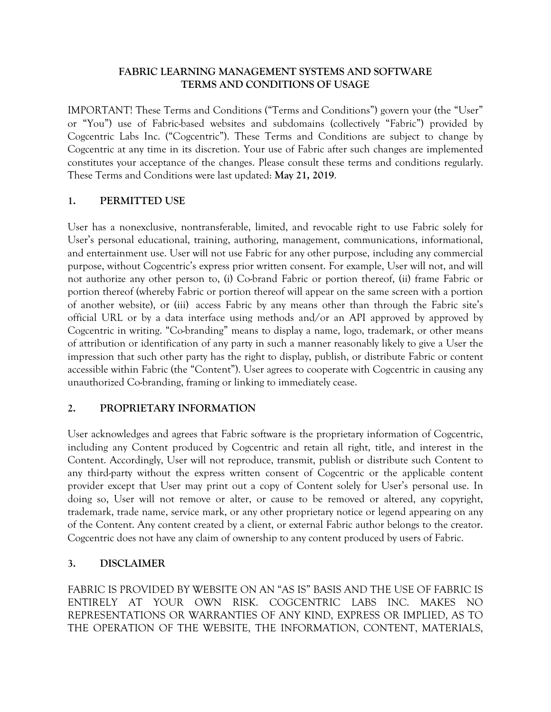### **FABRIC LEARNING MANAGEMENT SYSTEMS AND SOFTWARE TERMS AND CONDITIONS OF USAGE**

IMPORTANT! These Terms and Conditions ("Terms and Conditions") govern your (the "User" or "You") use of Fabric-based websites and subdomains (collectively "Fabric") provided by Cogcentric Labs Inc. ("Cogcentric"). These Terms and Conditions are subject to change by Cogcentric at any time in its discretion. Your use of Fabric after such changes are implemented constitutes your acceptance of the changes. Please consult these terms and conditions regularly. These Terms and Conditions were last updated: **May 21, 2019**.

### **1. PERMITTED USE**

User has a nonexclusive, nontransferable, limited, and revocable right to use Fabric solely for User's personal educational, training, authoring, management, communications, informational, and entertainment use. User will not use Fabric for any other purpose, including any commercial purpose, without Cogcentric's express prior written consent. For example, User will not, and will not authorize any other person to, (i) Co-brand Fabric or portion thereof, (ii) frame Fabric or portion thereof (whereby Fabric or portion thereof will appear on the same screen with a portion of another website), or (iii) access Fabric by any means other than through the Fabric site's official URL or by a data interface using methods and/or an API approved by approved by Cogcentric in writing. "Co-branding" means to display a name, logo, trademark, or other means of attribution or identification of any party in such a manner reasonably likely to give a User the impression that such other party has the right to display, publish, or distribute Fabric or content accessible within Fabric (the "Content"). User agrees to cooperate with Cogcentric in causing any unauthorized Co-branding, framing or linking to immediately cease.

### **2. PROPRIETARY INFORMATION**

User acknowledges and agrees that Fabric software is the proprietary information of Cogcentric, including any Content produced by Cogcentric and retain all right, title, and interest in the Content. Accordingly, User will not reproduce, transmit, publish or distribute such Content to any third-party without the express written consent of Cogcentric or the applicable content provider except that User may print out a copy of Content solely for User's personal use. In doing so, User will not remove or alter, or cause to be removed or altered, any copyright, trademark, trade name, service mark, or any other proprietary notice or legend appearing on any of the Content. Any content created by a client, or external Fabric author belongs to the creator. Cogcentric does not have any claim of ownership to any content produced by users of Fabric.

# **3. DISCLAIMER**

FABRIC IS PROVIDED BY WEBSITE ON AN "AS IS" BASIS AND THE USE OF FABRIC IS ENTIRELY AT YOUR OWN RISK. COGCENTRIC LABS INC. MAKES NO REPRESENTATIONS OR WARRANTIES OF ANY KIND, EXPRESS OR IMPLIED, AS TO THE OPERATION OF THE WEBSITE, THE INFORMATION, CONTENT, MATERIALS,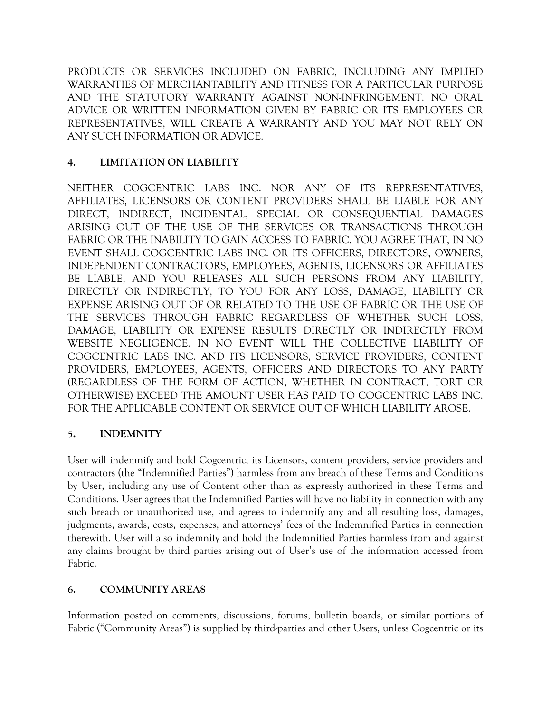PRODUCTS OR SERVICES INCLUDED ON FABRIC, INCLUDING ANY IMPLIED WARRANTIES OF MERCHANTABILITY AND FITNESS FOR A PARTICULAR PURPOSE AND THE STATUTORY WARRANTY AGAINST NON-INFRINGEMENT. NO ORAL ADVICE OR WRITTEN INFORMATION GIVEN BY FABRIC OR ITS EMPLOYEES OR REPRESENTATIVES, WILL CREATE A WARRANTY AND YOU MAY NOT RELY ON ANY SUCH INFORMATION OR ADVICE.

# **4. LIMITATION ON LIABILITY**

NEITHER COGCENTRIC LABS INC. NOR ANY OF ITS REPRESENTATIVES, AFFILIATES, LICENSORS OR CONTENT PROVIDERS SHALL BE LIABLE FOR ANY DIRECT, INDIRECT, INCIDENTAL, SPECIAL OR CONSEQUENTIAL DAMAGES ARISING OUT OF THE USE OF THE SERVICES OR TRANSACTIONS THROUGH FABRIC OR THE INABILITY TO GAIN ACCESS TO FABRIC. YOU AGREE THAT, IN NO EVENT SHALL COGCENTRIC LABS INC. OR ITS OFFICERS, DIRECTORS, OWNERS, INDEPENDENT CONTRACTORS, EMPLOYEES, AGENTS, LICENSORS OR AFFILIATES BE LIABLE, AND YOU RELEASES ALL SUCH PERSONS FROM ANY LIABILITY, DIRECTLY OR INDIRECTLY, TO YOU FOR ANY LOSS, DAMAGE, LIABILITY OR EXPENSE ARISING OUT OF OR RELATED TO THE USE OF FABRIC OR THE USE OF THE SERVICES THROUGH FABRIC REGARDLESS OF WHETHER SUCH LOSS, DAMAGE, LIABILITY OR EXPENSE RESULTS DIRECTLY OR INDIRECTLY FROM WEBSITE NEGLIGENCE. IN NO EVENT WILL THE COLLECTIVE LIABILITY OF COGCENTRIC LABS INC. AND ITS LICENSORS, SERVICE PROVIDERS, CONTENT PROVIDERS, EMPLOYEES, AGENTS, OFFICERS AND DIRECTORS TO ANY PARTY (REGARDLESS OF THE FORM OF ACTION, WHETHER IN CONTRACT, TORT OR OTHERWISE) EXCEED THE AMOUNT USER HAS PAID TO COGCENTRIC LABS INC. FOR THE APPLICABLE CONTENT OR SERVICE OUT OF WHICH LIABILITY AROSE.

# **5. INDEMNITY**

User will indemnify and hold Cogcentric, its Licensors, content providers, service providers and contractors (the "Indemnified Parties") harmless from any breach of these Terms and Conditions by User, including any use of Content other than as expressly authorized in these Terms and Conditions. User agrees that the Indemnified Parties will have no liability in connection with any such breach or unauthorized use, and agrees to indemnify any and all resulting loss, damages, judgments, awards, costs, expenses, and attorneys' fees of the Indemnified Parties in connection therewith. User will also indemnify and hold the Indemnified Parties harmless from and against any claims brought by third parties arising out of User's use of the information accessed from Fabric.

# **6. COMMUNITY AREAS**

Information posted on comments, discussions, forums, bulletin boards, or similar portions of Fabric ("Community Areas") is supplied by third-parties and other Users, unless Cogcentric or its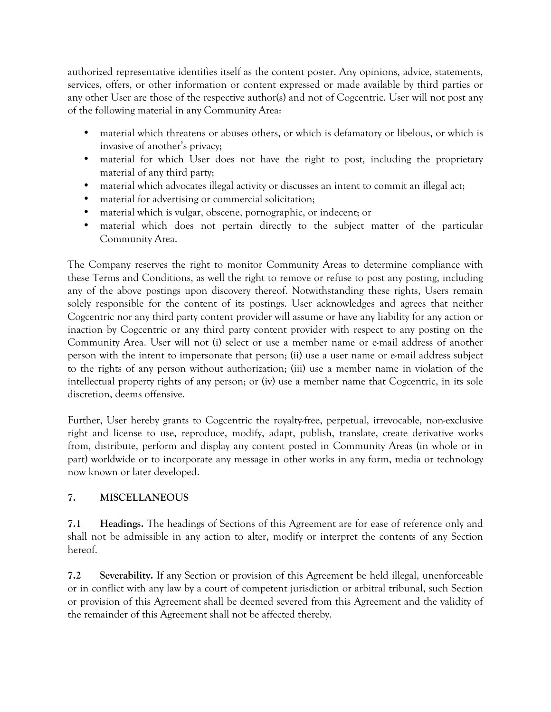authorized representative identifies itself as the content poster. Any opinions, advice, statements, services, offers, or other information or content expressed or made available by third parties or any other User are those of the respective author(s) and not of Cogcentric. User will not post any of the following material in any Community Area:

- material which threatens or abuses others, or which is defamatory or libelous, or which is invasive of another's privacy;
- material for which User does not have the right to post, including the proprietary material of any third party;
- material which advocates illegal activity or discusses an intent to commit an illegal act;
- material for advertising or commercial solicitation;
- material which is vulgar, obscene, pornographic, or indecent; or
- material which does not pertain directly to the subject matter of the particular Community Area.

The Company reserves the right to monitor Community Areas to determine compliance with these Terms and Conditions, as well the right to remove or refuse to post any posting, including any of the above postings upon discovery thereof. Notwithstanding these rights, Users remain solely responsible for the content of its postings. User acknowledges and agrees that neither Cogcentric nor any third party content provider will assume or have any liability for any action or inaction by Cogcentric or any third party content provider with respect to any posting on the Community Area. User will not (i) select or use a member name or e-mail address of another person with the intent to impersonate that person; (ii) use a user name or e-mail address subject to the rights of any person without authorization; (iii) use a member name in violation of the intellectual property rights of any person; or (iv) use a member name that Cogcentric, in its sole discretion, deems offensive.

Further, User hereby grants to Cogcentric the royalty-free, perpetual, irrevocable, non-exclusive right and license to use, reproduce, modify, adapt, publish, translate, create derivative works from, distribute, perform and display any content posted in Community Areas (in whole or in part) worldwide or to incorporate any message in other works in any form, media or technology now known or later developed.

# **7. MISCELLANEOUS**

**7.1 Headings.** The headings of Sections of this Agreement are for ease of reference only and shall not be admissible in any action to alter, modify or interpret the contents of any Section hereof.

**7.2 Severability.** If any Section or provision of this Agreement be held illegal, unenforceable or in conflict with any law by a court of competent jurisdiction or arbitral tribunal, such Section or provision of this Agreement shall be deemed severed from this Agreement and the validity of the remainder of this Agreement shall not be affected thereby.